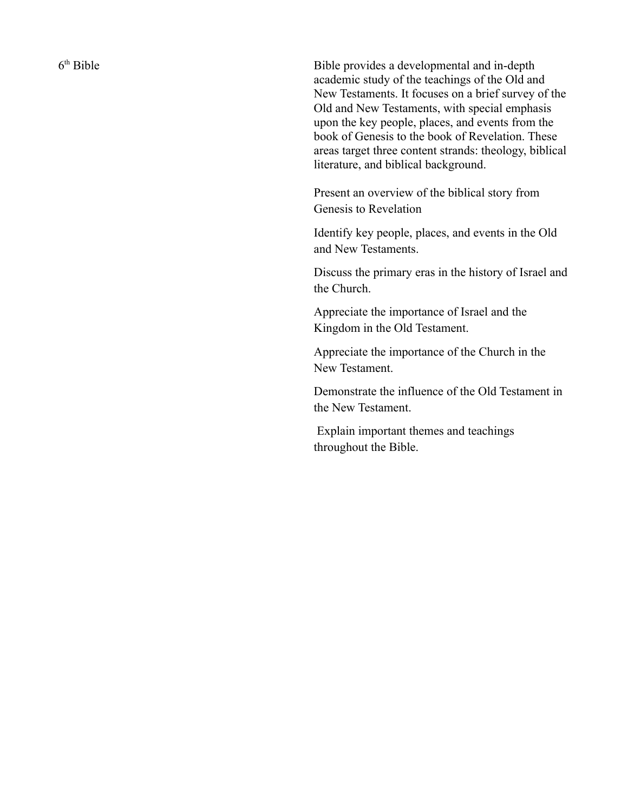$6<sup>th</sup>$  Bible

Bible provides a developmental and in-depth academic study of the teachings of the Old and New Testaments. It focuses on a brief survey of the Old and New Testaments, with special emphasis upon the key people, places, and events from the book of Genesis to the book of Revelation. These areas target three content strands: theology, biblical literature, and biblical background.

Present an overview of the biblical story from Genesis to Revelation

Identify key people, places, and events in the Old and New Testaments.

Discuss the primary eras in the history of Israel and the Church.

Appreciate the importance of Israel and the Kingdom in the Old Testament.

Appreciate the importance of the Church in the New Testament.

Demonstrate the influence of the Old Testament in the New Testament.

 Explain important themes and teachings throughout the Bible.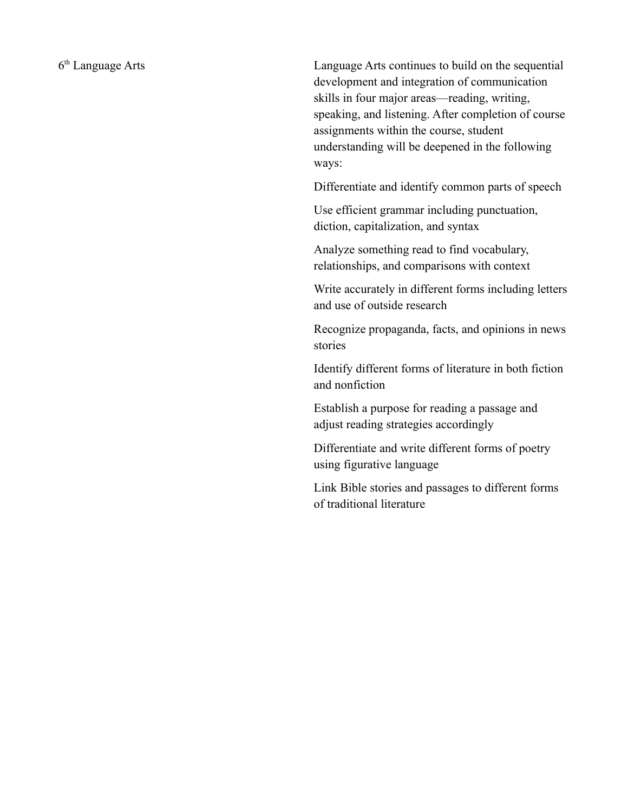Language Arts continues to build on the sequential development and integration of communication skills in four major areas—reading, writing, speaking, and listening. After completion of course assignments within the course, student understanding will be deepened in the following ways:

Differentiate and identify common parts of speech

Use efficient grammar including punctuation, diction, capitalization, and syntax

Analyze something read to find vocabulary, relationships, and comparisons with context

Write accurately in different forms including letters and use of outside research

Recognize propaganda, facts, and opinions in news stories

Identify different forms of literature in both fiction and nonfiction

Establish a purpose for reading a passage and adjust reading strategies accordingly

Differentiate and write different forms of poetry using figurative language

Link Bible stories and passages to different forms of traditional literature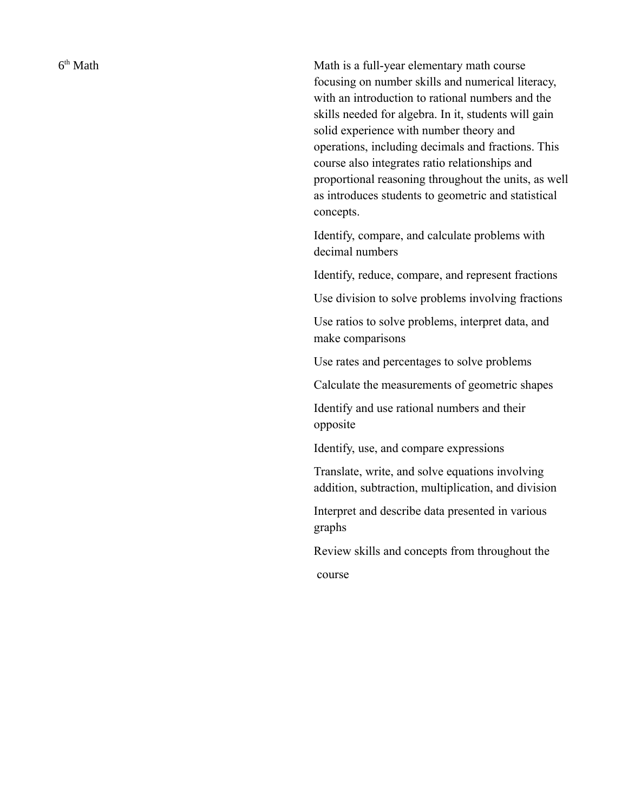$6<sup>th</sup>$  Math

Math is a full-year elementary math course focusing on number skills and numerical literacy, with an introduction to rational numbers and the skills needed for algebra. In it, students will gain solid experience with number theory and operations, including decimals and fractions. This course also integrates ratio relationships and proportional reasoning throughout the units, as well as introduces students to geometric and statistical concepts.

Identify, compare, and calculate problems with decimal numbers

Identify, reduce, compare, and represent fractions

Use division to solve problems involving fractions

Use ratios to solve problems, interpret data, and make comparisons

Use rates and percentages to solve problems

Calculate the measurements of geometric shapes

Identify and use rational numbers and their opposite

Identify, use, and compare expressions

Translate, write, and solve equations involving addition, subtraction, multiplication, and division

Interpret and describe data presented in various graphs

Review skills and concepts from throughout the course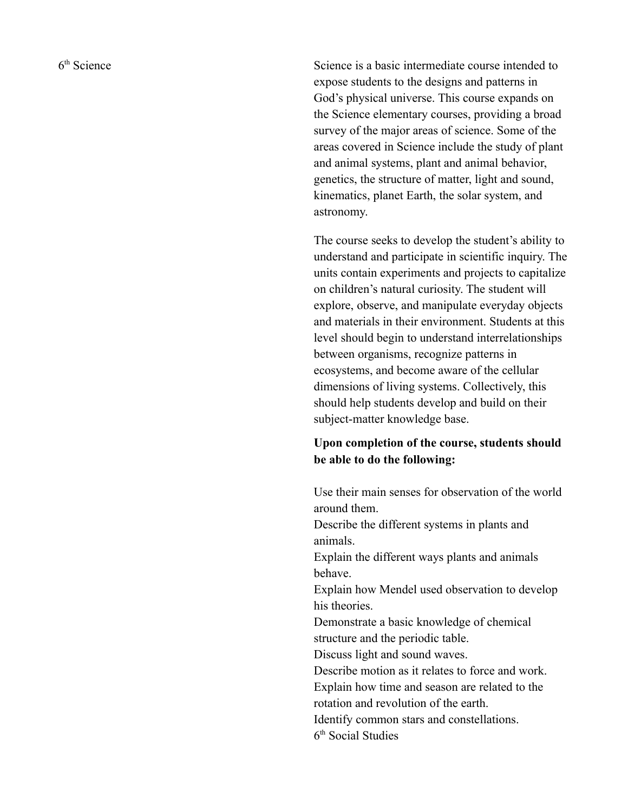6<sup>th</sup> Science

Science is a basic intermediate course intended to expose students to the designs and patterns in God's physical universe. This course expands on the Science elementary courses, providing a broad survey of the major areas of science. Some of the areas covered in Science include the study of plant and animal systems, plant and animal behavior, genetics, the structure of matter, light and sound, kinematics, planet Earth, the solar system, and astronomy.

The course seeks to develop the student's ability to understand and participate in scientific inquiry. The units contain experiments and projects to capitalize on children's natural curiosity. The student will explore, observe, and manipulate everyday objects and materials in their environment. Students at this level should begin to understand interrelationships between organisms, recognize patterns in ecosystems, and become aware of the cellular dimensions of living systems. Collectively, this should help students develop and build on their subject-matter knowledge base.

## **Upon completion of the course, students should be able to do the following:**

Use their main senses for observation of the world around them. Describe the different systems in plants and animals. Explain the different ways plants and animals behave. Explain how Mendel used observation to develop his theories. Demonstrate a basic knowledge of chemical structure and the periodic table. Discuss light and sound waves. Describe motion as it relates to force and work. Explain how time and season are related to the rotation and revolution of the earth. Identify common stars and constellations. 6 th Social Studies